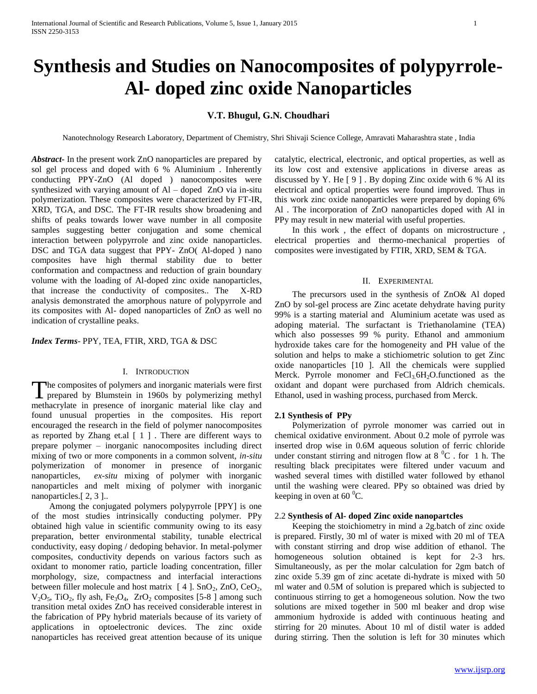# **Synthesis and Studies on Nanocomposites of polypyrrole-Al- doped zinc oxide Nanoparticles**

## **V.T. Bhugul, G.N. Choudhari**

Nanotechnology Research Laboratory, Department of Chemistry, Shri Shivaji Science College, Amravati Maharashtra state , India

*Abstract***-** In the present work ZnO nanoparticles are prepared by sol gel process and doped with 6 % Aluminium . Inherently conducting PPY-ZnO (Al doped ) nanocomposites were synthesized with varying amount of  $AI$  – doped  $ZnO$  via in-situ polymerization. These composites were characterized by FT-IR, XRD, TGA, and DSC. The FT-IR results show broadening and shifts of peaks towards lower wave number in all composite samples suggesting better conjugation and some chemical interaction between polypyrrole and zinc oxide nanoparticles. DSC and TGA data suggest that PPY- ZnO( Al-doped ) nano composites have high thermal stability due to better conformation and compactness and reduction of grain boundary volume with the loading of Al-doped zinc oxide nanoparticles, that increase the conductivity of composites.. The X-RD analysis demonstrated the amorphous nature of polypyrrole and its composites with Al- doped nanoparticles of ZnO as well no indication of crystalline peaks.

*Index Terms*- PPY, TEA, FTIR, XRD, TGA & DSC

## I. INTRODUCTION

he composites of polymers and inorganic materials were first The composites of polymers and inorganic materials were first prepared by Blumstein in 1960s by polymerizing methyl methacrylate in presence of inorganic material like clay and found unusual properties in the composites. His report encouraged the research in the field of polymer nanocomposites as reported by Zhang et.al [ 1 ] . There are different ways to prepare polymer – inorganic nanocomposites including direct mixing of two or more components in a common solvent, *in-situ* polymerization of monomer in presence of inorganic nanoparticles, *ex-situ* mixing of polymer with inorganic nanoparticles and melt mixing of polymer with inorganic nanoparticles.[ 2, 3 ]..

 Among the conjugated polymers polypyrrole [PPY] is one of the most studies intrinsically conducting polymer. PPy obtained high value in scientific community owing to its easy preparation, better environmental stability, tunable electrical conductivity, easy doping / dedoping behavior. In metal-polymer composites, conductivity depends on various factors such as oxidant to monomer ratio, particle loading concentration, filler morphology, size, compactness and interfacial interactions between filler molecule and host matrix  $[4]$ . SnO<sub>2</sub>, ZnO, CeO<sub>2</sub>,  $V_2O_5$ , TiO<sub>2</sub>, fly ash, Fe<sub>3</sub>O<sub>4</sub>, ZrO<sub>2</sub> composites [5-8 ] among such transition metal oxides ZnO has received considerable interest in the fabrication of PPy hybrid materials because of its variety of applications in optoelectronic devices. The zinc oxide nanoparticles has received great attention because of its unique

catalytic, electrical, electronic, and optical properties, as well as its low cost and extensive applications in diverse areas as discussed by Y. He  $[9]$ . By doping Zinc oxide with 6 % Al its electrical and optical properties were found improved. Thus in this work zinc oxide nanoparticles were prepared by doping 6% Al . The incorporation of ZnO nanoparticles doped with Al in PPy may result in new material with useful properties.

 In this work , the effect of dopants on microstructure , electrical properties and thermo-mechanical properties of composites were investigated by FTIR, XRD, SEM & TGA.

## II. EXPERIMENTAL

 The precursors used in the synthesis of ZnO& Al doped ZnO by sol-gel process are Zinc acetate dehydrate having purity 99% is a starting material and Aluminium acetate was used as adoping material. The surfactant is Triethanolamine (TEA) which also possesses 99 % purity. Ethanol and ammonium hydroxide takes care for the homogeneity and PH value of the solution and helps to make a stichiometric solution to get Zinc oxide nanoparticles [10 ]. All the chemicals were supplied Merck. Pyrrole monomer and  $FeCl<sub>3</sub>6H<sub>2</sub>O$ .functioned as the oxidant and dopant were purchased from Aldrich chemicals. Ethanol, used in washing process, purchased from Merck.

## **2.1 Synthesis of PPy**

 Polymerization of pyrrole monomer was carried out in chemical oxidative environment. About 0.2 mole of pyrrole was inserted drop wise in 0.6M aqueous solution of ferric chloride under constant stirring and nitrogen flow at  $8\,^0C$ . for 1 h. The resulting black precipitates were filtered under vacuum and washed several times with distilled water followed by ethanol until the washing were cleared. PPy so obtained was dried by keeping in oven at  $60<sup>0</sup>C$ .

## 2.2 **Synthesis of Al- doped Zinc oxide nanopartcles**

 Keeping the stoichiometry in mind a 2g.batch of zinc oxide is prepared. Firstly, 30 ml of water is mixed with 20 ml of TEA with constant stirring and drop wise addition of ethanol. The homogeneous solution obtained is kept for 2-3 hrs. Simultaneously, as per the molar calculation for 2gm batch of zinc oxide 5.39 gm of zinc acetate di-hydrate is mixed with 50 ml water and 0.5M of solution is prepared which is subjected to continuous stirring to get a homogeneous solution. Now the two solutions are mixed together in 500 ml beaker and drop wise ammonium hydroxide is added with continuous heating and stirring for 20 minutes. About 10 ml of distil water is added during stirring. Then the solution is left for 30 minutes which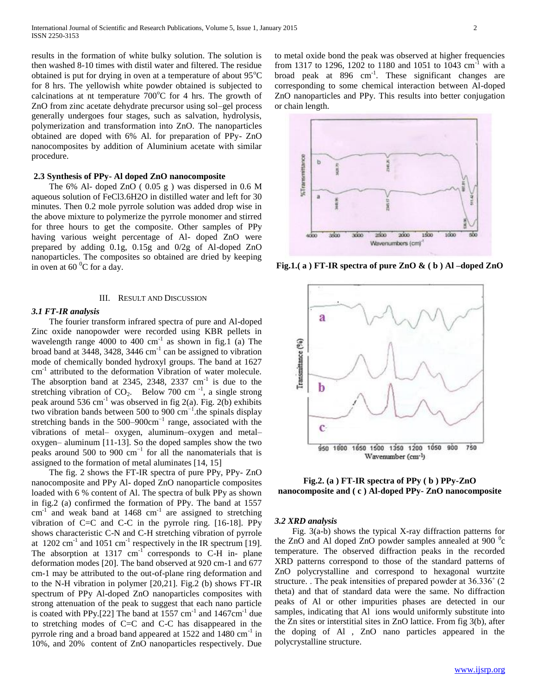results in the formation of white bulky solution. The solution is then washed 8-10 times with distil water and filtered. The residue obtained is put for drying in oven at a temperature of about  $95^{\circ}$ C for 8 hrs. The yellowish white powder obtained is subjected to calcinations at nt temperature  $700^{\circ}$ C for 4 hrs. The growth of ZnO from zinc acetate dehydrate precursor using sol–gel process generally undergoes four stages, such as salvation, hydrolysis, polymerization and transformation into ZnO. The nanoparticles obtained are doped with 6% Al. for preparation of PPy- ZnO nanocomposites by addition of Aluminium acetate with similar procedure.

### **2.3 Synthesis of PPy- Al doped ZnO nanocomposite**

 The 6% Al- doped ZnO ( 0.05 g ) was dispersed in 0.6 M aqueous solution of FeCl3.6H2O in distilled water and left for 30 minutes. Then 0.2 mole pyrrole solution was added drop wise in the above mixture to polymerize the pyrrole monomer and stirred for three hours to get the composite. Other samples of PPy having various weight percentage of Al- doped ZnO were prepared by adding 0.1g, 0.15g and 0/2g of Al-doped ZnO nanoparticles. The composites so obtained are dried by keeping in oven at 60 $\mathrm{^{0}C}$  for a day.

#### III. RESULT AND DISCUSSION

#### *3.1 FT-IR analysis*

 The fourier transform infrared spectra of pure and Al-doped Zinc oxide nanopowder were recorded using KBR pellets in wavelength range 4000 to 400 cm<sup>-1</sup> as shown in fig.1 (a) The broad band at  $3448$ ,  $3428$ ,  $3446$  cm<sup>-1</sup> can be assigned to vibration mode of chemically bonded hydroxyl groups. The band at 1627 cm<sup>-1</sup> attributed to the deformation Vibration of water molecule. The absorption band at 2345, 2348, 2337  $\text{cm}^{-1}$  is due to the stretching vibration of  $CO<sub>2</sub>$ . Below 700 cm<sup>-1</sup>, a single strong peak around 536 cm<sup>-1</sup> was observed in fig 2(a). Fig. 2(b) exhibits two vibration bands between 500 to 900  $cm^{-1}$ .the spinals display stretching bands in the  $500-900 \text{cm}^{-1}$  range, associated with the vibrations of metal– oxygen, aluminum–oxygen and metal– oxygen– aluminum [11-13]. So the doped samples show the two peaks around 500 to 900 cm−1 for all the nanomaterials that is assigned to the formation of metal aluminates [14, 15]

 The fig. 2 shows the FT-IR spectra of pure PPy, PPy- ZnO nanocomposite and PPy Al- doped ZnO nanoparticle composites loaded with 6 % content of Al. The spectra of bulk PPy as shown in fig.2 (a) confirmed the formation of PPy. The band at 1557  $cm^{-1}$  and weak band at 1468  $cm^{-1}$  are assigned to stretching vibration of C=C and C-C in the pyrrole ring. [16-18]. PPy shows characteristic C-N and C-H stretching vibration of pyrrole at  $1202 \text{ cm}^{-1}$  and  $1051 \text{ cm}^{-1}$  respectively in the IR spectrum [19]. The absorption at  $1317 \text{ cm}^{-1}$  corresponds to C-H in- plane deformation modes [20]. The band observed at 920 cm-1 and 677 cm-1 may be attributed to the out-of-plane ring deformation and to the N-H vibration in polymer [20,21]. Fig.2 (b) shows FT-IR spectrum of PPy Al-doped ZnO nanoparticles composites with strong attenuation of the peak to suggest that each nano particle is coated with PPy.[22] The band at  $1557 \text{ cm}^{-1}$  and  $1467 \text{ cm}^{-1}$  due to stretching modes of C=C and C-C has disappeared in the pyrrole ring and a broad band appeared at 1522 and 1480 cm<sup>-1</sup> in 10%, and 20% content of ZnO nanoparticles respectively. Due

to metal oxide bond the peak was observed at higher frequencies from 1317 to 1296, 1202 to 1180 and 1051 to 1043 cm<sup>-1</sup> with a broad peak at  $896 \text{ cm}^{-1}$ . These significant changes are corresponding to some chemical interaction between Al-doped ZnO nanoparticles and PPy. This results into better conjugation or chain length.



**Fig.1.( a ) FT-IR spectra of pure ZnO & ( b ) Al –doped ZnO**



**Fig.2. (a ) FT-IR spectra of PPy ( b ) PPy-ZnO nanocomposite and ( c ) Al-doped PPy- ZnO nanocomposite**

#### *3.2 XRD analysis*

 Fig. 3(a-b) shows the typical X-ray diffraction patterns for the ZnO and Al doped ZnO powder samples annealed at 900 $\degree$ c temperature. The observed diffraction peaks in the recorded XRD patterns correspond to those of the standard patterns of ZnO polycrystalline and correspond to hexagonal wurtzite structure. . The peak intensities of prepared powder at 36.336˚ (2 theta) and that of standard data were the same. No diffraction peaks of Al or other impurities phases are detected in our samples, indicating that Al ions would uniformly substitute into the Zn sites or interstitial sites in ZnO lattice. From fig 3(b), after the doping of Al , ZnO nano particles appeared in the polycrystalline structure.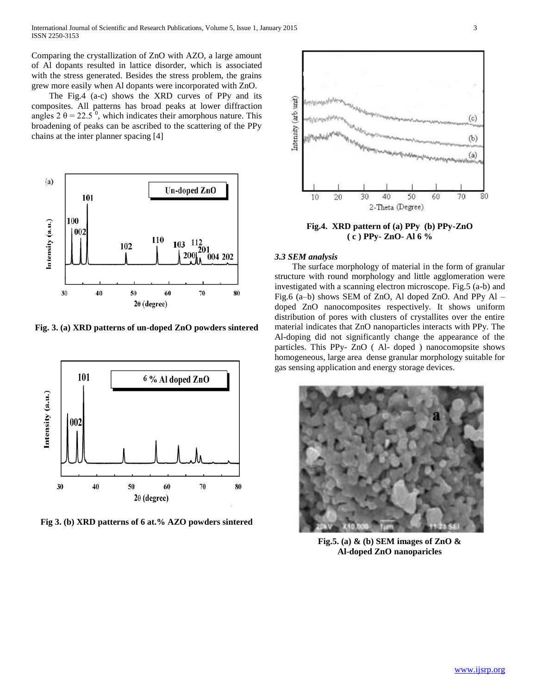Comparing the crystallization of ZnO with AZO, a large amount of Al dopants resulted in lattice disorder, which is associated with the stress generated. Besides the stress problem, the grains grew more easily when Al dopants were incorporated with ZnO.

 The Fig.4 (a-c) shows the XRD curves of PPy and its composites. All patterns has broad peaks at lower diffraction angles  $2 \theta = 22.5^{\degree}$ , which indicates their amorphous nature. This broadening of peaks can be ascribed to the scattering of the PPy chains at the inter planner spacing [4]



**Fig. 3. (a) XRD patterns of un-doped ZnO powders sintered**



**Fig 3. (b) XRD patterns of 6 at.% AZO powders sintered**



**Fig.4. XRD pattern of (a) PPy (b) PPy-ZnO ( c ) PPy- ZnO- Al 6 %**

#### *3.3 SEM analysis*

 The surface morphology of material in the form of granular structure with round morphology and little agglomeration were investigated with a scanning electron microscope. Fig.5 (a-b) and Fig.6 (a–b) shows SEM of ZnO, Al doped ZnO. And PPy Al – doped ZnO nanocomposites respectively. It shows uniform distribution of pores with clusters of crystallites over the entire material indicates that ZnO nanoparticles interacts with PPy. The Al-doping did not significantly change the appearance of the particles. This PPy- ZnO ( Al- doped ) nanocomopsite shows homogeneous, large area dense granular morphology suitable for gas sensing application and energy storage devices.



**Fig.5. (a) & (b) SEM images of ZnO & Al-doped ZnO nanoparicles**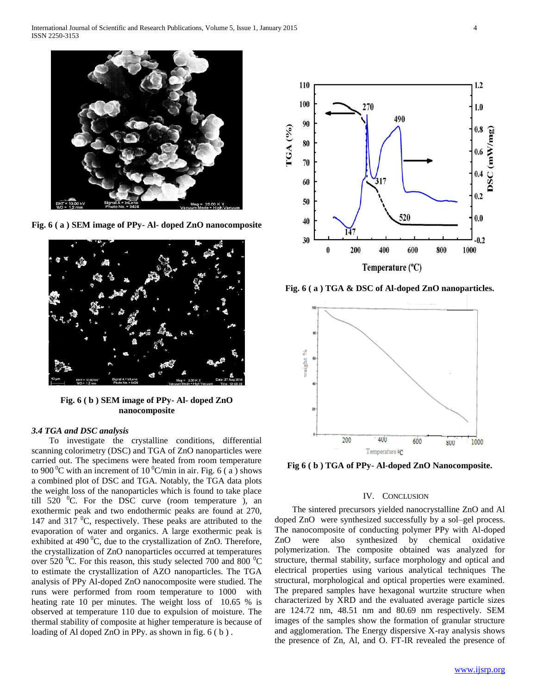

**Fig. 6 ( a ) SEM image of PPy- Al- doped ZnO nanocomposite**



**Fig. 6 ( b ) SEM image of PPy- Al- doped ZnO nanocomposite**

## *3.4 TGA and DSC analysis*

 To investigate the crystalline conditions, differential scanning colorimetry (DSC) and TGA of ZnO nanoparticles were carried out. The specimens were heated from room temperature to 900  $\mathrm{^0C}$  with an increment of 10  $\mathrm{^0C/min}$  in air. Fig. 6 (a) shows a combined plot of DSC and TGA. Notably, the TGA data plots the weight loss of the nanoparticles which is found to take place till  $520$  <sup>0</sup>C. For the DSC curve (room temperature ), an exothermic peak and two endothermic peaks are found at 270, 147 and 317  $\mathrm{^0C}$ , respectively. These peaks are attributed to the evaporation of water and organics. A large exothermic peak is exhibited at 490 $^0$ C, due to the crystallization of ZnO. Therefore, the crystallization of ZnO nanoparticles occurred at temperatures over 520  $^0$ C. For this reason, this study selected 700 and 800  $^0$ C to estimate the crystallization of AZO nanoparticles. The TGA analysis of PPy Al-doped ZnO nanocomposite were studied. The runs were performed from room temperature to 1000 with heating rate 10 per minutes. The weight loss of 10.65 % is observed at temperature 110 due to expulsion of moisture. The thermal stability of composite at higher temperature is because of loading of Al doped ZnO in PPy. as shown in fig. 6 ( b ) .



**Fig. 6 ( a ) TGA & DSC of Al-doped ZnO nanoparticles.**



**Fig 6 ( b ) TGA of PPy- Al-doped ZnO Nanocomposite.**

#### IV. CONCLUSION

 The sintered precursors yielded nanocrystalline ZnO and Al doped ZnO were synthesized successfully by a sol–gel process. The nanocomposite of conducting polymer PPy with Al-doped ZnO were also synthesized by chemical oxidative polymerization. The composite obtained was analyzed for structure, thermal stability, surface morphology and optical and electrical properties using various analytical techniques The structural, morphological and optical properties were examined. The prepared samples have hexagonal wurtzite structure when characterized by XRD and the evaluated average particle sizes are 124.72 nm, 48.51 nm and 80.69 nm respectively. SEM images of the samples show the formation of granular structure and agglomeration. The Energy dispersive X-ray analysis shows the presence of Zn, Al, and O. FT-IR revealed the presence of